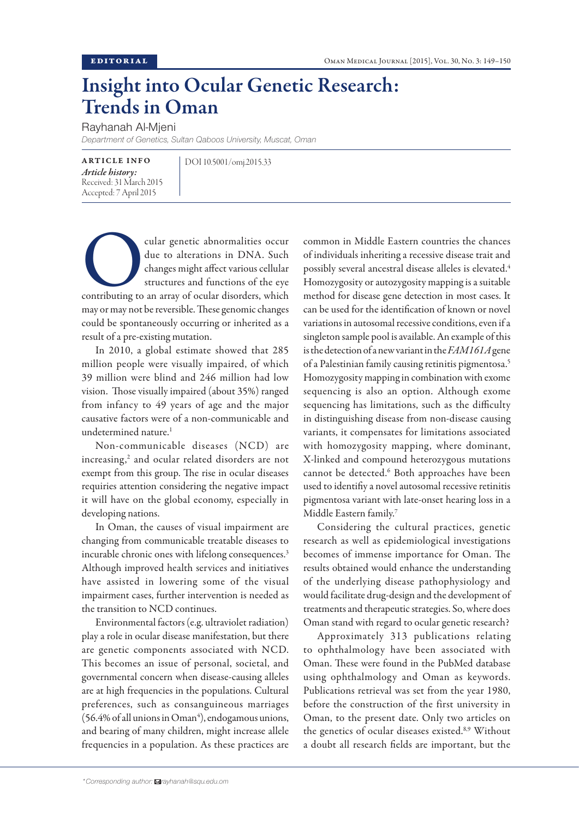## Insight into Ocular Genetic Research: Trends in Oman

Rayhanah Al-Mjeni

*Department of Genetics, Sultan Qaboos University, Muscat, Oman*

ARTICLE INFO *Article history:*  Received: 31 March 2015 Accepted: 7 April 2015

DOI 10.5001/omj.2015.33

cular genetic abnormalities occur<br>
due to alterations in DNA. Such<br>
changes might affect various cellular<br>
structures and functions of the eye<br>
contributing to an array of ocular disorders, which due to alterations in DNA. Such changes might affect various cellular structures and functions of the eye may or may not be reversible. These genomic changes could be spontaneously occurring or inherited as a result of a pre-existing mutation.

In 2010, a global estimate showed that 285 million people were visually impaired, of which 39 million were blind and 246 million had low vision. Those visually impaired (about 35%) ranged from infancy to 49 years of age and the major causative factors were of a non-communicable and undetermined nature.<sup>1</sup>

Non-communicable diseases (NCD) are increasing,<sup>2</sup> and ocular related disorders are not exempt from this group. The rise in ocular diseases requiries attention considering the negative impact it will have on the global economy, especially in developing nations.

In Oman, the causes of visual impairment are changing from communicable treatable diseases to incurable chronic ones with lifelong consequences.<sup>3</sup> Although improved health services and initiatives have assisted in lowering some of the visual impairment cases, further intervention is needed as the transition to NCD continues.

Environmental factors (e.g. ultraviolet radiation) play a role in ocular disease manifestation, but there are genetic components associated with NCD. This becomes an issue of personal, societal, and governmental concern when disease-causing alleles are at high frequencies in the populations. Cultural preferences, such as consanguineous marriages  $(56.4\%$  of all unions in Oman<sup>4</sup>), endogamous unions, and bearing of many children, might increase allele frequencies in a population. As these practices are

common in Middle Eastern countries the chances of individuals inheriting a recessive disease trait and possibly several ancestral disease alleles is elevated.4 Homozygosity or autozygosity mapping is a suitable method for disease gene detection in most cases. It can be used for the identification of known or novel variations in autosomal recessive conditions, even if a singleton sample pool is available. An example of this is the detection of a new variant in the *FAM161A* gene of a Palestinian family causing retinitis pigmentosa.5 Homozygosity mapping in combination with exome sequencing is also an option. Although exome sequencing has limitations, such as the difficulty in distinguishing disease from non-disease causing variants, it compensates for limitations associated with homozygosity mapping, where dominant, X-linked and compound heterozygous mutations cannot be detected.<sup>6</sup> Both approaches have been used to identifiy a novel autosomal recessive retinitis pigmentosa variant with late-onset hearing loss in a Middle Eastern family.7

Considering the cultural practices, genetic research as well as epidemiological investigations becomes of immense importance for Oman. The results obtained would enhance the understanding of the underlying disease pathophysiology and would facilitate drug-design and the development of treatments and therapeutic strategies. So, where does Oman stand with regard to ocular genetic research?

Approximately 313 publications relating to ophthalmology have been associated with Oman. These were found in the PubMed database using ophthalmology and Oman as keywords. Publications retrieval was set from the year 1980, before the construction of the first university in Oman, to the present date. Only two articles on the genetics of ocular diseases existed.<sup>8,9</sup> Without a doubt all research fields are important, but the